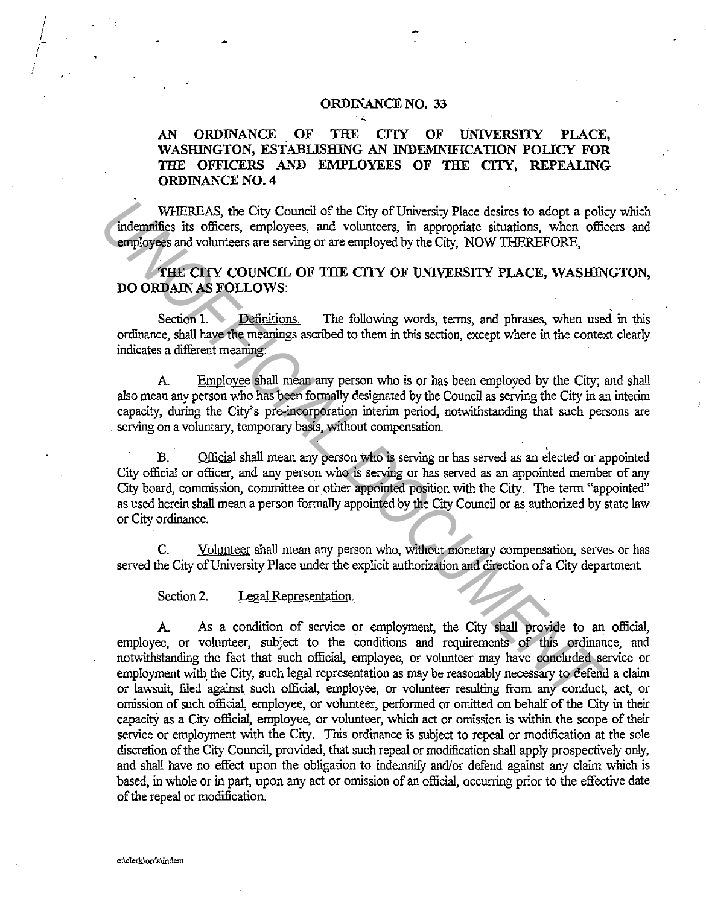## **ORDINANCE NO. 33**

## **AN ORDINANCE OF THE CTIY OF tJNIVERSTIY PLACE, WASHINGTON, ESTABLISHING AN INDEMNIFICATION POLICY FOR THE OFFICERS AND EMPLOYEES OF THE CTIY, REPEALING ORDINANCE NO. 4**

WHEREAS, the City Council of the City of University Place desires to adopt a policy which indemnifies its officers, employees, and volunteers, in appropriate situations, when officers and employees and volunteers are serving or are employed by the City, NOW 1HEREFORE,

THE CITY COUNCIL OF THE CITY OF UNIVERSITY PLACE, WASHINGTON, **DO ORDAIN AS FOLLOWS:** 

Section 1. Definitions. The following words, terms, and phrases, when used in this ordinance, shall have the meanings ascnbed to them in this section, except where in the context clearly indicates a different meaning:

A Employee shall mean any person who is or has been employed by the City; and shall also mean any person who has been formally designated by the Council as serving the City in an interim capacity, during the City's pre-incorporation interim period, notwithstanding that such persons are serving on a voluntary, temporary basis, without compensation.

B. Official shall mean any person who is serving or has served as an elected or appointed City official or officer, and any person who is serving or has served as an appointed member of any City board, commission, committee or other appointed position with the City. The term "appointed" as used herein shall mean a person formally appointed by the City Council or as authorized by state law or City ordinance.

C. Volunteer shall mean any person who, without monetary compensation, serves or has served the City of University Place under the explicit authorization and direction of a City department.

Section 2. Legal Representation.

A As a condition of service or employment, the City shall provide to an official, employee, or volunteer, subject to the conditions and requirements of this ordinance, and notwithstanding the fact that such official, employee, or volunteer may have concluded service or employment with the City, such legal representation as may be reasonably necessary to defend a claim or lawsuit, filed against such official, employee, or volunteer resulting from any conduct, act, or omission of such official, employee, or volunteer, performed or omitted on behalf of the City in their capacity as a City official, employee, or volunteer, which act or omission is within the scope of their service or employment with the City. This ordinance is subject to repeal or modification at the sole discretion of the City Council, provided, that such repeal or modification shall apply prospectively only, and shall have no effect upon the obligation to indemnify and/or defend against any claim which is based, in whole or in part, upon any act or omission of an official, occurring prior to the effective date of the repeal or modification. WHEREAS, the City council of the City of University Place desires to adopt a point of energy and volumeers are serving or are employed by the City, NOW THEREFORE, and volumeers are serving or are employed by the City, NOW

c:\clerk\ords\indem

 $\int$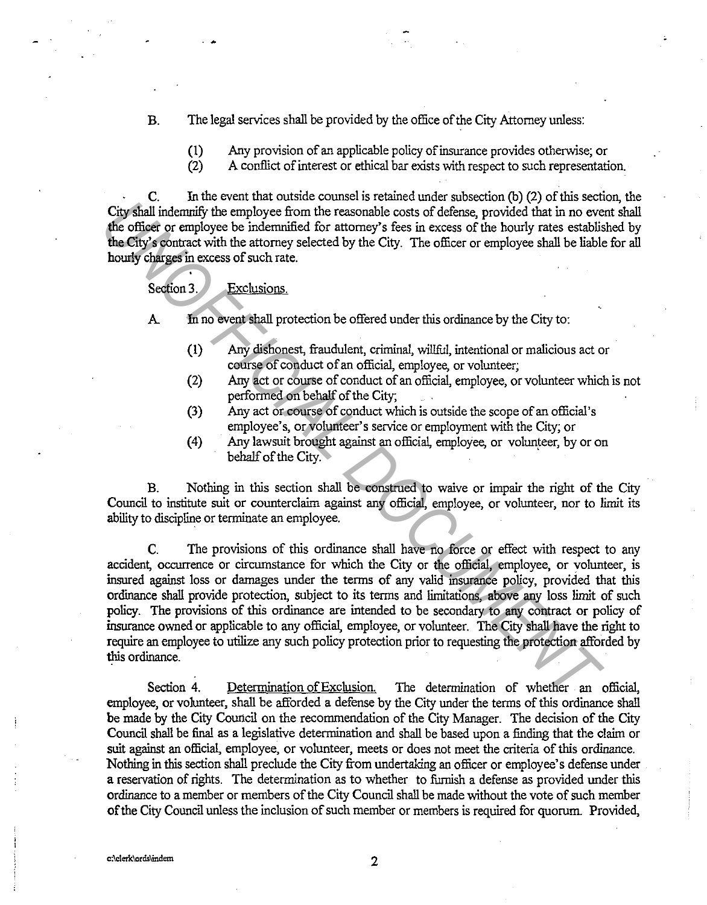- B. The legal services shall be provided by the office of the City Attorney unless:
	- (1) Any provision of an applicable policy of insurance provides otherwise; or
	- (2) A conflict of interest or ethical bar exists with respect to such representation.

C. In the event that outside counsel is retained under subsection (b) (2) of this section, the City shall indemnify the employee from the reasonable costs of defense, provided that in no event shall the officer or employee be indemnified for attorney's fees in excess of the hourly rates established by the City's contract with the attorney selected by the City. The officer or employee shall be liable for all hourly charges in excess of such rate.

Section 3. Exclusions.

A In no event shall protection be offered under this ordinance by the City to:

- (1) Any dishonest, fraudulent, criminal, willful, intentional or malicious act or course of conduct of an official, employee, or volunteer;
- (2) Any act or course of conduct of an official, employee, or volunteer which is not performed on behalf of the City;
- (3) Any act or course of conduct which is outside the scope of an official's employee's, or volunteer's service or employment with the City; or
- (4) Any lawsuit brought against an official, employee, or volunteer, by or on behalf of the City.

B. Nothing in this section shall be construed to waive or impair the right of the City Council to institute suit or counterclaim against any official, employee, or volunteer, nor to limit its ability to discipline or terminate an employee.

C. The provisions of this ordinance shall have no force or effect with respect to any accident, occurrence or circumstance for which the City or the official, employee, or volunteer, is insured against loss or damages under the terms of any valid insurance policy, provided that this ordinance shall provide protection, subject to its terms and limitations, above any loss limit of such policy. The provisions of this ordinance are intended to be secondary to any contract or policy of insurance owned or applicable to any official, employee, or volunteer. The City shall have the right to require an employee to utilize any such policy protection prior to requesting the protection afforded by this ordinance. City shall indemnify the employee from the reasonable costs of defense, provided that in no every<br>**the office of remployee brom the reasonable costs of defense, provided that in no every<br>the office or employee brom the rea** 

Section 4. Determination of Exclusion. The determination of whether an official, employee, or volunteer, shall be afforded a defense by the City under the terms of this ordinance shall be made by the City Council on the recommendation of the City Manager. The decision of the City Council shall be final as a legislative determination and shall be based upon a finding that the claim or suit against an official, employee, or volunteer, meets or does not meet the criteria of this ordinance. Nothing in this section shall preclude the City from undertaking an officer or employee's defense under a reservation of rights. The determination as to whether to furnish a defense as provided under this ordinance to a member or members of the City Council shall be made without the vote of such member of the City Council unless the inclusion of such member or members is required for quorum. Provided,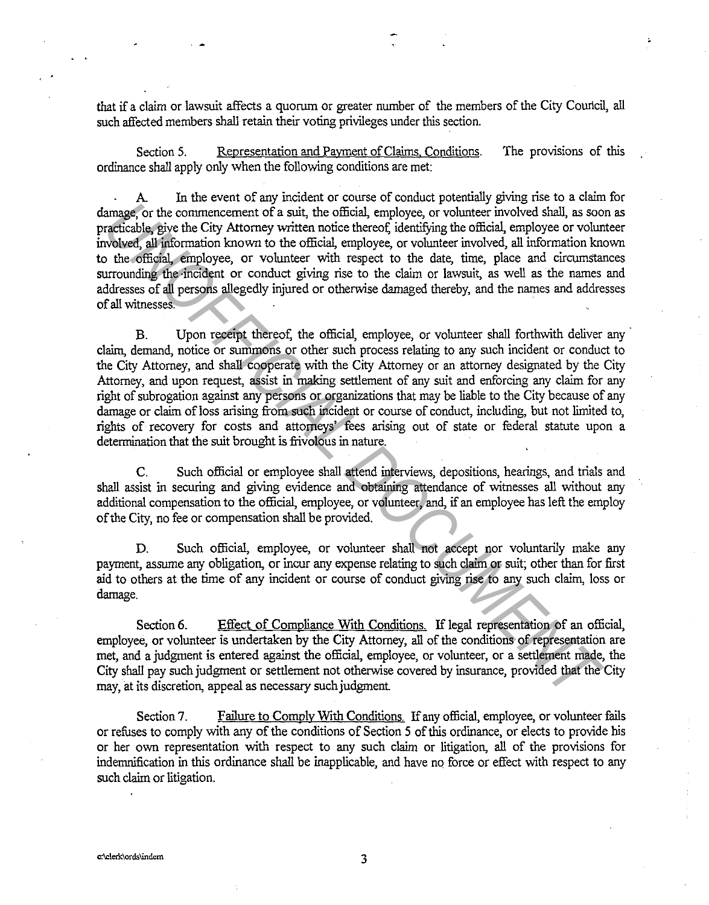that if a claim or lawsuit affects a quorum or greater number of the members of the City Council, all such affected members shall retain their voting privileges under this section.

Section 5. Representation and Payment of Claims, Conditions. The provisions of this ordinance shall apply only when the following conditions are met:

In the event of any incident or course of conduct potentially giving rise to a claim for damage, or the commencement of a suit, the official, employee, or volunteer involved shall, as soon as practicable, give the City Attorney written notice thereof; identifying the official, employee or volunteer involved, all infonnation known to the official, employee, or volunteer involved, all infonnation known to the official, employee, or volunteer with respect to the date, time, place and circumstances surrounding the incident or conduct giving rise to the claim or lawsuit, as well as the names and addresses of all persons allegedly injured or otherwise damaged thereby, and the names and addresses of all witnesses. ·

B. Upon receipt thereof, the official, employee, or volunteer shall forthwith deliver any claim, demand, notice or summons or other such process relating to any such incident or conduct to the City Attorney, and shall cooperate with the City Attorney or an attorney designated by the City Attorney, and upon request, assist in making settlement of any suit and enforcing any claim for any right of subrogation against any persons or organizations that may be liable to the City because of any damage or claim of loss arising from such incident or course of conduct, including, but not limited to, rights of recovery for costs and attorneys' fees arising out of state or federal statute upon a determination that the suit brought is frivolous in nature. amage, or the commencement of a suit, the official, employee, or volumeter involved shall, as sooned<br>head give the City Attomy withen notice thereof identifying the official employee or the official properties<br>and whele al

C. Such official or employee shall attend interviews, depositions, hearings, and trials and shall assist in securing and giving evidence and obtaining attendance of witnesses all without any additional compensation to the official, employee, or volunteer, and, if an employee has left the employ of the City, no fee or compensation shall be provided.

D. Such official, employee, or volunteer shall not accept nor voluntarily make any payment, assume any obligation, or incur any expense relating to such claim or suit; other than for first aid to others at the time of any incident or course of conduct giving rise to any such claim, loss or damage.

Section 6. Effect of Compliance With Conditions. If legal representation of an official, employee, or volunteer is undertaken by the City Attorney, all of the conditions of representation are met, and a judgment is entered against the official, employee, or volunteer, or a settlement made, the City shall pay such judgment or settlement not otherwise covered by insurance, provided that the City may, at its discretion, appeal as necessary such judgment

Section 7. Failure to Comply With Conditions. If any official, employee, or volunteer fails or refuses to comply with any of the conditions of Section 5 of this ordinance, or elects to provide his or her own representation with respect to any such claim or litigation, all of the provisions for indemnification in this ordinance shall be inapplicable, and have no force or effect with respect to any such claim or litigation.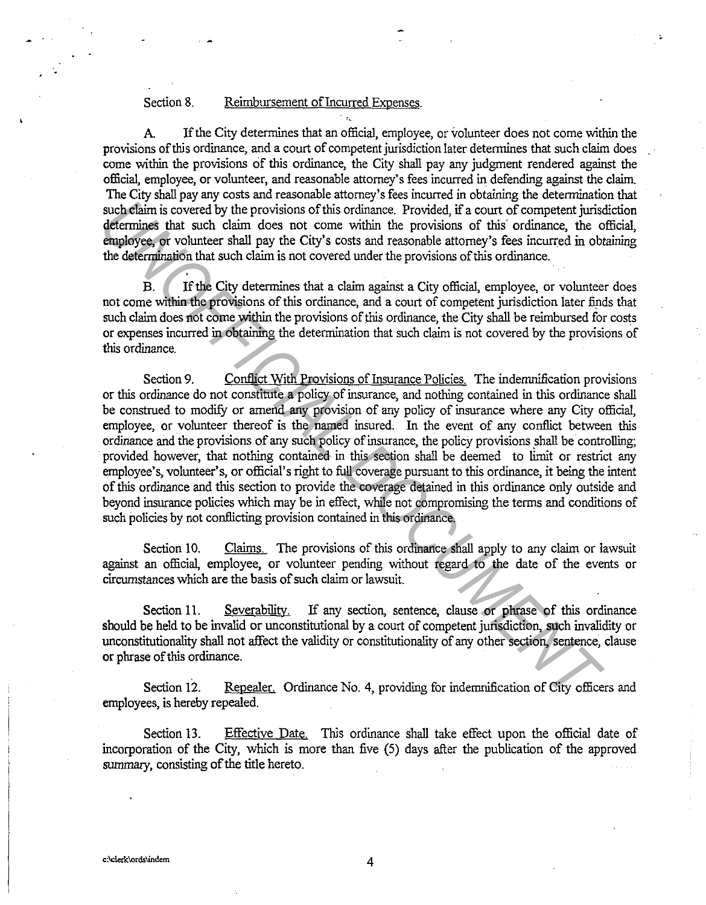## Section 8. Reimbursement of Incurred Expenses.

A If the City determines that an official, employee, or volunteer does not come within the provisions of this ordinance, and a court of competent jurisdiction later determines that such claim does come within the provisions of this ordinance, the City shall pay any judgment rendered against the official, employee, or volunteer, and reasonable attorney's fees incurred in defending against the claim. The City shall pay any costs and reasonable attorney's fees incurred in obtaining the determination that such claim is covered by the provisions of this ordinance. Provided, if a court of competent jurisdiction determines that such claim does not come within the provisions of this ordinance, the official, employee, or volunteer shall pay the City's costs and reasonable attorney's fees incurred in obtaining the detennination that such claim is not covered under the provisions of this ordinance.

B. If the City determines that a claim against a City official, employee, or volunteer does not come within the provisions of this ordinance, and a court of competent jurisdiction later finds that such claim does not come within the provisions of this ordinance, the City shall be reimbursed for costs or expenses incurred in obtaining the determination that such claim is not covered by the provisions of this ordinance.

Section 9. Conflict With Provisions of Insurance Policies. The indemnification provisions or this ordinance do not constitute a policy of insurance, and nothing contained in this ordinance shall be construed to modify or amend any provision of any policy of insurance where any City official, employee, or volunteer thereof is the named insured. In the event of any conflict between this ordinance and the provisions of any such policy of insurance, the policy provisions shall be controlling; provided however, that nothing contained in this section shall be deemed to limit or restrict any employee's, volunteer's, or official's right to full coverage pursuant to this ordinance, it being the intent of this ordinance and this section to provide the coverage detained in this ordinance only outside and beyond insurance policies which may be in effect, while not compromising the terms and conditions of such policies by not conflicting provision contained in this ordinance. **Such that is evolved by the provisions of this ordinance.** Provided, if a court of competent jurisdent<br>minimize that such claim does not come within the provisions of this ordinance,<br>**Provided**, if a court of competent ju

Section 10. Claims. The provisions of this ordinance shall apply to any claim or lawsuit against an official, employee, or volunteer pending without regard to the date of the events or circumstances which are the basis of such claim or lawsuit.

Section 11. Severability. If any section, sentence, clause or phrase of this ordinance should be held to be invalid or unconstitutional by a court of competent jurisdiction, such invalidity or unconstitutionality shall not affect the validity or constitutionality of any other section, sentence, clause or phrase of this ordinance.

Section 12. Repealer. Ordinance No. 4, providing for indemnification of City officers and employees, is hereby repealed.

Section 13. Effective Date. This ordinance shall take effect upon the official date of incorporation of the City, which is more than five (5) days after the publication of the approved summary, consisting of the title hereto.